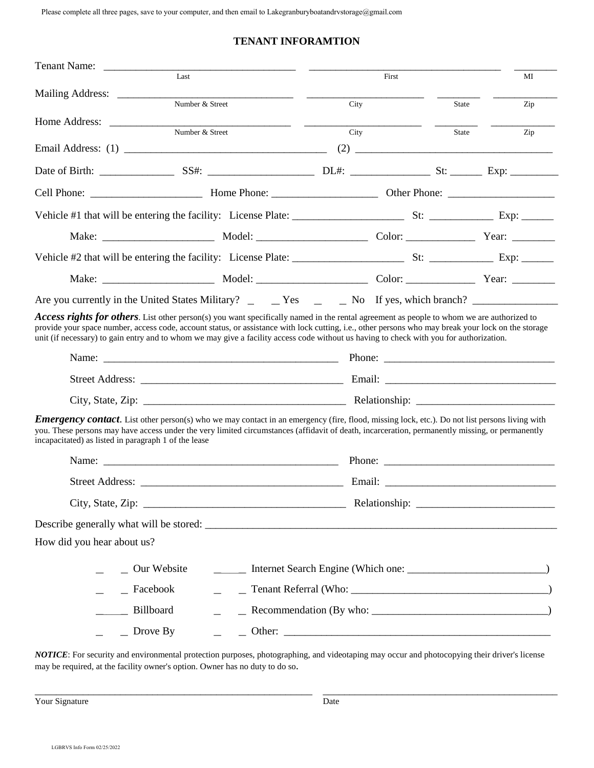Please complete all three pages, save to your computer, and then email to Lakegranburyboatandrvstorage@gmail.com

## **TENANT INFORAMTION**

| Last                                                                                                                                                                                                                                                                                                                                                                                                                                                |                 |  | First |       | MI                                                                                                                                                                                                                                                                                                                               |  |
|-----------------------------------------------------------------------------------------------------------------------------------------------------------------------------------------------------------------------------------------------------------------------------------------------------------------------------------------------------------------------------------------------------------------------------------------------------|-----------------|--|-------|-------|----------------------------------------------------------------------------------------------------------------------------------------------------------------------------------------------------------------------------------------------------------------------------------------------------------------------------------|--|
| Number & Street                                                                                                                                                                                                                                                                                                                                                                                                                                     |                 |  | City  | State | Zip                                                                                                                                                                                                                                                                                                                              |  |
|                                                                                                                                                                                                                                                                                                                                                                                                                                                     |                 |  |       |       |                                                                                                                                                                                                                                                                                                                                  |  |
|                                                                                                                                                                                                                                                                                                                                                                                                                                                     | Number & Street |  | City  | State | Zip                                                                                                                                                                                                                                                                                                                              |  |
|                                                                                                                                                                                                                                                                                                                                                                                                                                                     |                 |  |       |       | $(2) \begin{tabular}{c} 0 & 0 & 0 \\ 0 & 0 & 0 \\ 0 & 0 & 0 \\ 0 & 0 & 0 \\ 0 & 0 & 0 \\ 0 & 0 & 0 \\ 0 & 0 & 0 \\ 0 & 0 & 0 \\ 0 & 0 & 0 \\ 0 & 0 & 0 \\ 0 & 0 & 0 & 0 \\ 0 & 0 & 0 & 0 \\ 0 & 0 & 0 & 0 \\ 0 & 0 & 0 & 0 & 0 \\ 0 & 0 & 0 & 0 & 0 \\ 0 & 0 & 0 & 0 & 0 \\ 0 & 0 & 0 & 0 & 0 & 0 \\ 0 & 0 & 0 & 0 & 0 & 0 \\ 0$ |  |
|                                                                                                                                                                                                                                                                                                                                                                                                                                                     |                 |  |       |       |                                                                                                                                                                                                                                                                                                                                  |  |
|                                                                                                                                                                                                                                                                                                                                                                                                                                                     |                 |  |       |       |                                                                                                                                                                                                                                                                                                                                  |  |
|                                                                                                                                                                                                                                                                                                                                                                                                                                                     |                 |  |       |       |                                                                                                                                                                                                                                                                                                                                  |  |
|                                                                                                                                                                                                                                                                                                                                                                                                                                                     |                 |  |       |       |                                                                                                                                                                                                                                                                                                                                  |  |
|                                                                                                                                                                                                                                                                                                                                                                                                                                                     |                 |  |       |       |                                                                                                                                                                                                                                                                                                                                  |  |
|                                                                                                                                                                                                                                                                                                                                                                                                                                                     |                 |  |       |       |                                                                                                                                                                                                                                                                                                                                  |  |
| Are you currently in the United States Military? _ _ _ Yes ______ No If yes, which branch? _______________                                                                                                                                                                                                                                                                                                                                          |                 |  |       |       |                                                                                                                                                                                                                                                                                                                                  |  |
| <b>Access rights for others</b> . List other person(s) you want specifically named in the rental agreement as people to whom we are authorized to<br>provide your space number, access code, account status, or assistance with lock cutting, i.e., other persons who may break your lock on the storage<br>unit (if necessary) to gain entry and to whom we may give a facility access code without us having to check with you for authorization. |                 |  |       |       |                                                                                                                                                                                                                                                                                                                                  |  |
|                                                                                                                                                                                                                                                                                                                                                                                                                                                     |                 |  |       |       |                                                                                                                                                                                                                                                                                                                                  |  |
|                                                                                                                                                                                                                                                                                                                                                                                                                                                     |                 |  |       |       |                                                                                                                                                                                                                                                                                                                                  |  |
|                                                                                                                                                                                                                                                                                                                                                                                                                                                     |                 |  |       |       |                                                                                                                                                                                                                                                                                                                                  |  |
| <b>Emergency contact.</b> List other person(s) who we may contact in an emergency (fire, flood, missing lock, etc.). Do not list persons living with<br>you. These persons may have access under the very limited circumstances (affidavit of death, incarceration, permanently missing, or permanently<br>incapacitated) as listed in paragraph 1 of the lease                                                                                     |                 |  |       |       |                                                                                                                                                                                                                                                                                                                                  |  |
|                                                                                                                                                                                                                                                                                                                                                                                                                                                     |                 |  |       |       |                                                                                                                                                                                                                                                                                                                                  |  |
|                                                                                                                                                                                                                                                                                                                                                                                                                                                     |                 |  |       |       |                                                                                                                                                                                                                                                                                                                                  |  |
|                                                                                                                                                                                                                                                                                                                                                                                                                                                     |                 |  |       |       |                                                                                                                                                                                                                                                                                                                                  |  |
|                                                                                                                                                                                                                                                                                                                                                                                                                                                     |                 |  |       |       |                                                                                                                                                                                                                                                                                                                                  |  |
| How did you hear about us?                                                                                                                                                                                                                                                                                                                                                                                                                          |                 |  |       |       |                                                                                                                                                                                                                                                                                                                                  |  |
| _ Our Website                                                                                                                                                                                                                                                                                                                                                                                                                                       |                 |  |       |       |                                                                                                                                                                                                                                                                                                                                  |  |
| $=$ Facebook                                                                                                                                                                                                                                                                                                                                                                                                                                        |                 |  |       |       |                                                                                                                                                                                                                                                                                                                                  |  |
| Billboard                                                                                                                                                                                                                                                                                                                                                                                                                                           |                 |  |       |       |                                                                                                                                                                                                                                                                                                                                  |  |
| $\equiv$ Drove By                                                                                                                                                                                                                                                                                                                                                                                                                                   |                 |  |       |       |                                                                                                                                                                                                                                                                                                                                  |  |
|                                                                                                                                                                                                                                                                                                                                                                                                                                                     |                 |  |       |       |                                                                                                                                                                                                                                                                                                                                  |  |

*NOTICE*: For security and environmental protection purposes, photographing, and videotaping may occur and photocopying their driver's license may be required, at the facility owner's option. Owner has no duty to do so.

Later Court Signature and the set of the set of the set of the set of the set of the set of the set of the set of the Date Date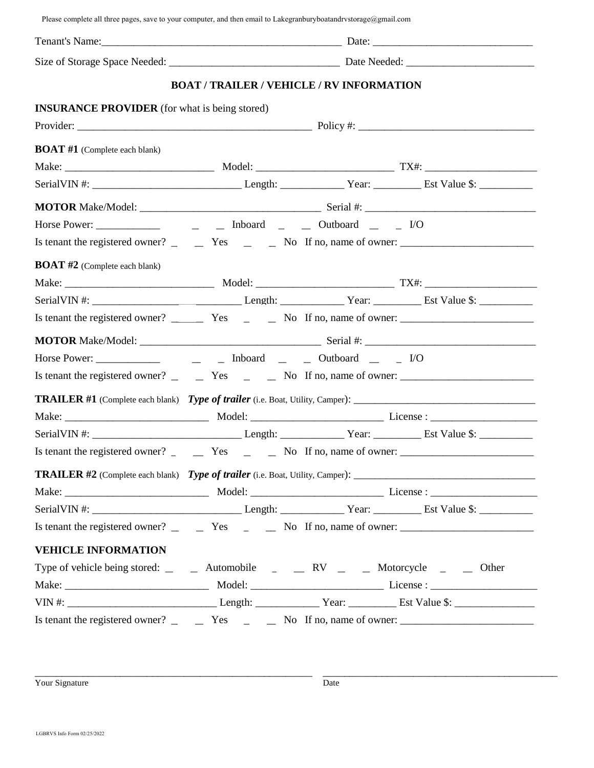Please complete all three pages, save to your computer, and then email to Lakegranburyboatandrvstorage@gmail.com

|                                                      |  | <b>BOAT / TRAILER / VEHICLE / RV INFORMATION</b>                                                                               |  |  |  |  |
|------------------------------------------------------|--|--------------------------------------------------------------------------------------------------------------------------------|--|--|--|--|
| <b>INSURANCE PROVIDER</b> (for what is being stored) |  |                                                                                                                                |  |  |  |  |
|                                                      |  |                                                                                                                                |  |  |  |  |
| <b>BOAT #1</b> (Complete each blank)                 |  |                                                                                                                                |  |  |  |  |
|                                                      |  |                                                                                                                                |  |  |  |  |
|                                                      |  |                                                                                                                                |  |  |  |  |
|                                                      |  |                                                                                                                                |  |  |  |  |
|                                                      |  |                                                                                                                                |  |  |  |  |
|                                                      |  | Is tenant the registered owner? $\qquad \qquad$ Yes $\qquad \qquad$ No If no, name of owner:                                   |  |  |  |  |
| <b>BOAT #2</b> (Complete each blank)                 |  |                                                                                                                                |  |  |  |  |
|                                                      |  |                                                                                                                                |  |  |  |  |
|                                                      |  |                                                                                                                                |  |  |  |  |
|                                                      |  | Is tenant the registered owner? $\frac{1}{\sqrt{1-\frac{1}{n}}}$ Yes $\frac{1}{\sqrt{1-\frac{1}{n}}}$ No If no, name of owner: |  |  |  |  |
|                                                      |  |                                                                                                                                |  |  |  |  |
|                                                      |  |                                                                                                                                |  |  |  |  |
|                                                      |  | Is tenant the registered owner? $\_\_\_\_\_\$ Yes $\_\_\_\_\$ No If no, name of owner: $\_\_\_\_\_\_\_\_\_\_\_\_\$             |  |  |  |  |
|                                                      |  |                                                                                                                                |  |  |  |  |
|                                                      |  |                                                                                                                                |  |  |  |  |
|                                                      |  |                                                                                                                                |  |  |  |  |
|                                                      |  |                                                                                                                                |  |  |  |  |
|                                                      |  |                                                                                                                                |  |  |  |  |
|                                                      |  |                                                                                                                                |  |  |  |  |
|                                                      |  |                                                                                                                                |  |  |  |  |
|                                                      |  | Is tenant the registered owner? $\qquad \qquad$ Yes $\qquad \qquad$ No If no, name of owner:                                   |  |  |  |  |
| <b>VEHICLE INFORMATION</b>                           |  |                                                                                                                                |  |  |  |  |
|                                                      |  | Type of vehicle being stored: _ _ _ Automobile _ _ _ _ RV _ _ _ Motorcycle _ _ _ Other                                         |  |  |  |  |
|                                                      |  |                                                                                                                                |  |  |  |  |
|                                                      |  |                                                                                                                                |  |  |  |  |
|                                                      |  | Is tenant the registered owner? $\qquad \qquad$ Yes $\qquad \qquad$ No If no, name of owner:                                   |  |  |  |  |

Nour Signature and the set of the set of the set of the set of the set of the set of the set of the set of the Date